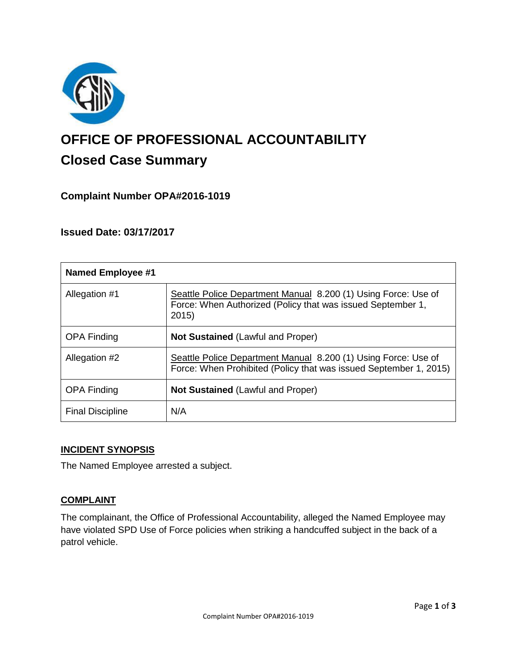

# **OFFICE OF PROFESSIONAL ACCOUNTABILITY Closed Case Summary**

## **Complaint Number OPA#2016-1019**

## **Issued Date: 03/17/2017**

| <b>Named Employee #1</b> |                                                                                                                                        |
|--------------------------|----------------------------------------------------------------------------------------------------------------------------------------|
| Allegation #1            | Seattle Police Department Manual 8.200 (1) Using Force: Use of<br>Force: When Authorized (Policy that was issued September 1,<br>2015) |
| <b>OPA Finding</b>       | <b>Not Sustained (Lawful and Proper)</b>                                                                                               |
| Allegation #2            | Seattle Police Department Manual 8.200 (1) Using Force: Use of<br>Force: When Prohibited (Policy that was issued September 1, 2015)    |
| <b>OPA Finding</b>       | <b>Not Sustained (Lawful and Proper)</b>                                                                                               |
| <b>Final Discipline</b>  | N/A                                                                                                                                    |

## **INCIDENT SYNOPSIS**

The Named Employee arrested a subject.

#### **COMPLAINT**

The complainant, the Office of Professional Accountability, alleged the Named Employee may have violated SPD Use of Force policies when striking a handcuffed subject in the back of a patrol vehicle.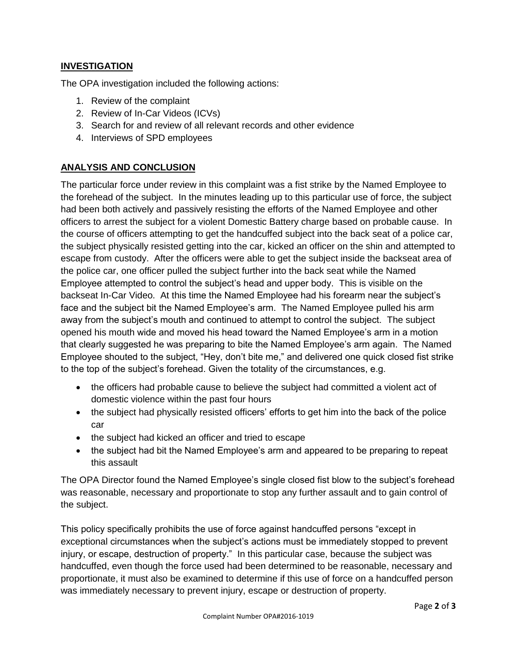## **INVESTIGATION**

The OPA investigation included the following actions:

- 1. Review of the complaint
- 2. Review of In-Car Videos (ICVs)
- 3. Search for and review of all relevant records and other evidence
- 4. Interviews of SPD employees

## **ANALYSIS AND CONCLUSION**

The particular force under review in this complaint was a fist strike by the Named Employee to the forehead of the subject. In the minutes leading up to this particular use of force, the subject had been both actively and passively resisting the efforts of the Named Employee and other officers to arrest the subject for a violent Domestic Battery charge based on probable cause. In the course of officers attempting to get the handcuffed subject into the back seat of a police car, the subject physically resisted getting into the car, kicked an officer on the shin and attempted to escape from custody. After the officers were able to get the subject inside the backseat area of the police car, one officer pulled the subject further into the back seat while the Named Employee attempted to control the subject's head and upper body. This is visible on the backseat In-Car Video. At this time the Named Employee had his forearm near the subject's face and the subject bit the Named Employee's arm. The Named Employee pulled his arm away from the subject's mouth and continued to attempt to control the subject. The subject opened his mouth wide and moved his head toward the Named Employee's arm in a motion that clearly suggested he was preparing to bite the Named Employee's arm again. The Named Employee shouted to the subject, "Hey, don't bite me," and delivered one quick closed fist strike to the top of the subject's forehead. Given the totality of the circumstances, e.g.

- the officers had probable cause to believe the subject had committed a violent act of domestic violence within the past four hours
- the subject had physically resisted officers' efforts to get him into the back of the police car
- the subject had kicked an officer and tried to escape
- the subject had bit the Named Employee's arm and appeared to be preparing to repeat this assault

The OPA Director found the Named Employee's single closed fist blow to the subject's forehead was reasonable, necessary and proportionate to stop any further assault and to gain control of the subject.

This policy specifically prohibits the use of force against handcuffed persons "except in exceptional circumstances when the subject's actions must be immediately stopped to prevent injury, or escape, destruction of property." In this particular case, because the subject was handcuffed, even though the force used had been determined to be reasonable, necessary and proportionate, it must also be examined to determine if this use of force on a handcuffed person was immediately necessary to prevent injury, escape or destruction of property.